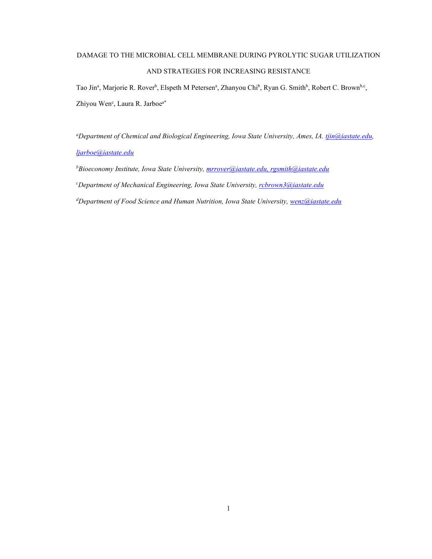# DAMAGE TO THE MICROBIAL CELL MEMBRANE DURING PYROLYTIC SUGAR UTILIZATION AND STRATEGIES FOR INCREASING RESISTANCE

Tao Jin<sup>a</sup>, Marjorie R. Rover<sup>b</sup>, Elspeth M Petersen<sup>a</sup>, Zhanyou Chi<sup>b</sup>, Ryan G. Smith<sup>b</sup>, Robert C. Brown<sup>b,c</sup>, Zhiyou Wen<sup>c</sup>, Laura R. Jarboe<sup>a\*</sup>

*a Department of Chemical and Biological Engineering, Iowa State University, Ames, IA. [tjin@iastate.edu,](mailto:tjin@iastate.edu) [ljarboe@iastate.edu](mailto:ljarboe@iastate.edu)*

*b Bioeconomy Institute, Iowa State University[, mrrover@iastate.edu,](mailto:mrrover@iastate.edu) [rgsmith@iastate.edu](mailto:rgsmith@iastate.edu)*

*c Department of Mechanical Engineering, Iowa State University, [rcbrown3@iastate.edu](mailto:rcbrown3@iastate.edu)*

*d Department of Food Science and Human Nutrition, Iowa State University, [wenz@iastate.edu](mailto:wenz@iastate.edu)*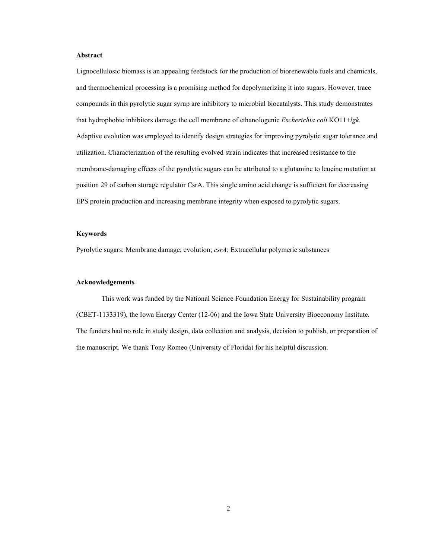# **Abstract**

Lignocellulosic biomass is an appealing feedstock for the production of biorenewable fuels and chemicals, and thermochemical processing is a promising method for depolymerizing it into sugars. However, trace compounds in this pyrolytic sugar syrup are inhibitory to microbial biocatalysts. This study demonstrates that hydrophobic inhibitors damage the cell membrane of ethanologenic *Escherichia coli* KO11+*lgk*. Adaptive evolution was employed to identify design strategies for improving pyrolytic sugar tolerance and utilization. Characterization of the resulting evolved strain indicates that increased resistance to the membrane-damaging effects of the pyrolytic sugars can be attributed to a glutamine to leucine mutation at position 29 of carbon storage regulator CsrA. This single amino acid change is sufficient for decreasing EPS protein production and increasing membrane integrity when exposed to pyrolytic sugars.

# **Keywords**

Pyrolytic sugars; Membrane damage; evolution; *csrA*; Extracellular polymeric substances

## **Acknowledgements**

This work was funded by the National Science Foundation Energy for Sustainability program (CBET-1133319), the Iowa Energy Center (12-06) and the Iowa State University Bioeconomy Institute. The funders had no role in study design, data collection and analysis, decision to publish, or preparation of the manuscript. We thank Tony Romeo (University of Florida) for his helpful discussion.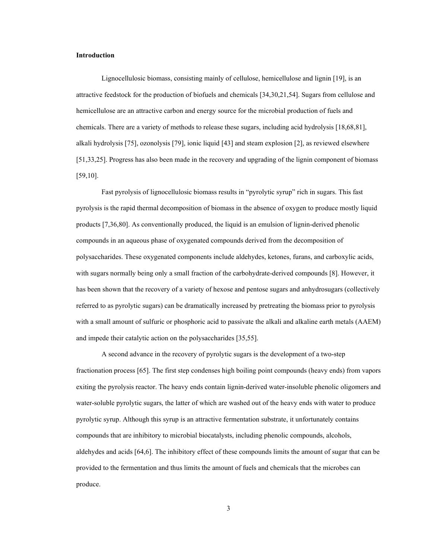## **Introduction**

Lignocellulosic biomass, consisting mainly of cellulose, hemicellulose and lignin [19], is an attractive feedstock for the production of biofuels and chemicals [34,30,21,54]. Sugars from cellulose and hemicellulose are an attractive carbon and energy source for the microbial production of fuels and chemicals. There are a variety of methods to release these sugars, including acid hydrolysis [18,68,81], alkali hydrolysis [75], ozonolysis [79], ionic liquid [43] and steam explosion [2], as reviewed elsewhere [51,33,25]. Progress has also been made in the recovery and upgrading of the lignin component of biomass [59,10].

Fast pyrolysis of lignocellulosic biomass results in "pyrolytic syrup" rich in sugars. This fast pyrolysis is the rapid thermal decomposition of biomass in the absence of oxygen to produce mostly liquid products [7,36,80]. As conventionally produced, the liquid is an emulsion of lignin-derived phenolic compounds in an aqueous phase of oxygenated compounds derived from the decomposition of polysaccharides. These oxygenated components include aldehydes, ketones, furans, and carboxylic acids, with sugars normally being only a small fraction of the carbohydrate-derived compounds [8]. However, it has been shown that the recovery of a variety of hexose and pentose sugars and anhydrosugars (collectively referred to as pyrolytic sugars) can be dramatically increased by pretreating the biomass prior to pyrolysis with a small amount of sulfuric or phosphoric acid to passivate the alkali and alkaline earth metals (AAEM) and impede their catalytic action on the polysaccharides [35,55].

A second advance in the recovery of pyrolytic sugars is the development of a two-step fractionation process [65]. The first step condenses high boiling point compounds (heavy ends) from vapors exiting the pyrolysis reactor. The heavy ends contain lignin-derived water-insoluble phenolic oligomers and water-soluble pyrolytic sugars, the latter of which are washed out of the heavy ends with water to produce pyrolytic syrup. Although this syrup is an attractive fermentation substrate, it unfortunately contains compounds that are inhibitory to microbial biocatalysts, including phenolic compounds, alcohols, aldehydes and acids [64,6]. The inhibitory effect of these compounds limits the amount of sugar that can be provided to the fermentation and thus limits the amount of fuels and chemicals that the microbes can produce.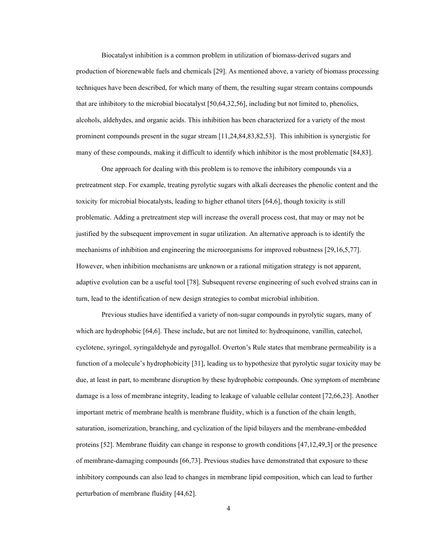Biocatalyst inhibition is a common problem in utilization of biomass-derived sugars and production of biorenewable fuels and chemicals [29]. As mentioned above, a variety of biomass processing techniques have been described, for which many of them, the resulting sugar stream contains compounds that are inhibitory to the microbial biocatalyst [50,64,32,56], including but not limited to, phenolics, alcohols, aldehydes, and organic acids. This inhibition has been characterized for a variety of the most prominent compounds present in the sugar stream [11,24,84,83,82,53]. This inhibition is synergistic for many of these compounds, making it difficult to identify which inhibitor is the most problematic [84,83].

One approach for dealing with this problem is to remove the inhibitory compounds via a pretreatment step. For example, treating pyrolytic sugars with alkali decreases the phenolic content and the toxicity for microbial biocatalysts, leading to higher ethanol titers [64,6], though toxicity is still problematic. Adding a pretreatment step will increase the overall process cost, that may or may not be justified by the subsequent improvement in sugar utilization. An alternative approach is to identify the mechanisms of inhibition and engineering the microorganisms for improved robustness [29,16,5,77]. However, when inhibition mechanisms are unknown or a rational mitigation strategy is not apparent, adaptive evolution can be a useful tool [78]. Subsequent reverse engineering of such evolved strains can in turn, lead to the identification of new design strategies to combat microbial inhibition.

Previous studies have identified a variety of non-sugar compounds in pyrolytic sugars, many of which are hydrophobic [64,6]. These include, but are not limited to: hydroquinone, vanillin, catechol, cyclotene, syringol, syringaldehyde and pyrogallol. Overton's Rule states that membrane permeability is a function of a molecule's hydrophobicity [31], leading us to hypothesize that pyrolytic sugar toxicity may be due, at least in part, to membrane disruption by these hydrophobic compounds. One symptom of membrane damage is a loss of membrane integrity, leading to leakage of valuable cellular content [72,66,23]. Another important metric of membrane health is membrane fluidity, which is a function of the chain length, saturation, isomerization, branching, and cyclization of the lipid bilayers and the membrane-embedded proteins [52]. Membrane fluidity can change in response to growth conditions [47,12,49,3] or the presence of membrane-damaging compounds [66,73]. Previous studies have demonstrated that exposure to these inhibitory compounds can also lead to changes in membrane lipid composition, which can lead to further perturbation of membrane fluidity [44,62].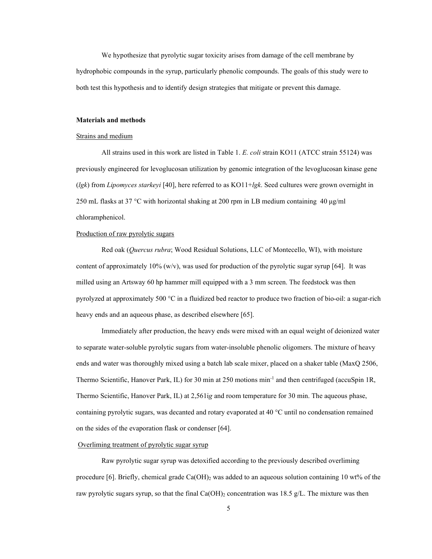We hypothesize that pyrolytic sugar toxicity arises from damage of the cell membrane by hydrophobic compounds in the syrup, particularly phenolic compounds. The goals of this study were to both test this hypothesis and to identify design strategies that mitigate or prevent this damage.

# **Materials and methods**

# Strains and medium

All strains used in this work are listed in Table 1. *E. coli* strain KO11 (ATCC strain 55124) was previously engineered for levoglucosan utilization by genomic integration of the levoglucosan kinase gene (*lgk*) from *Lipomyces starkeyi* [40], here referred to as KO11+*lgk*. Seed cultures were grown overnight in 250 mL flasks at 37 °C with horizontal shaking at 200 rpm in LB medium containing 40 μg/ml chloramphenicol.

# Production of raw pyrolytic sugars

Red oak (*Quercus rubra*; Wood Residual Solutions, LLC of Montecello, WI), with moisture content of approximately  $10\%$  (w/v), was used for production of the pyrolytic sugar syrup [64]. It was milled using an Artsway 60 hp hammer mill equipped with a 3 mm screen. The feedstock was then pyrolyzed at approximately 500 °C in a fluidized bed reactor to produce two fraction of bio-oil: a sugar-rich heavy ends and an aqueous phase, as described elsewhere [65].

Immediately after production, the heavy ends were mixed with an equal weight of deionized water to separate water-soluble pyrolytic sugars from water-insoluble phenolic oligomers. The mixture of heavy ends and water was thoroughly mixed using a batch lab scale mixer, placed on a shaker table (MaxQ 2506, Thermo Scientific, Hanover Park, IL) for 30 min at 250 motions min-1 and then centrifuged (accuSpin 1R, Thermo Scientific, Hanover Park, IL) at 2,561i*g* and room temperature for 30 min. The aqueous phase, containing pyrolytic sugars, was decanted and rotary evaporated at 40 °C until no condensation remained on the sides of the evaporation flask or condenser [64].

### Overliming treatment of pyrolytic sugar syrup

Raw pyrolytic sugar syrup was detoxified according to the previously described overliming procedure [6]. Briefly, chemical grade  $Ca(OH)_2$  was added to an aqueous solution containing 10 wt% of the raw pyrolytic sugars syrup, so that the final  $Ca(OH)_2$  concentration was 18.5 g/L. The mixture was then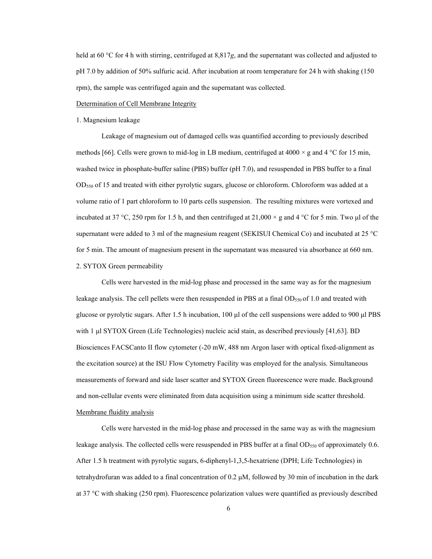held at 60 °C for 4 h with stirring, centrifuged at 8,817*g*, and the supernatant was collected and adjusted to pH 7.0 by addition of 50% sulfuric acid. After incubation at room temperature for 24 h with shaking (150 rpm), the sample was centrifuged again and the supernatant was collected.

## Determination of Cell Membrane Integrity

# 1. Magnesium leakage

Leakage of magnesium out of damaged cells was quantified according to previously described methods [66]. Cells were grown to mid-log in LB medium, centrifuged at  $4000 \times g$  and  $4 \degree C$  for 15 min, washed twice in phosphate-buffer saline (PBS) buffer (pH 7.0), and resuspended in PBS buffer to a final OD550 of 15 and treated with either pyrolytic sugars, glucose or chloroform. Chloroform was added at a volume ratio of 1 part chloroform to 10 parts cells suspension. The resulting mixtures were vortexed and incubated at 37 °C, 250 rpm for 1.5 h, and then centrifuged at 21,000  $\times$  g and 4 °C for 5 min. Two µl of the supernatant were added to 3 ml of the magnesium reagent (SEKISUI Chemical Co) and incubated at 25 °C for 5 min. The amount of magnesium present in the supernatant was measured via absorbance at 660 nm. 2. SYTOX Green permeability

Cells were harvested in the mid-log phase and processed in the same way as for the magnesium leakage analysis. The cell pellets were then resuspended in PBS at a final OD $_{550}$  of 1.0 and treated with glucose or pyrolytic sugars. After 1.5 h incubation, 100 μl of the cell suspensions were added to 900 μl PBS with 1 μl SYTOX Green (Life Technologies) nucleic acid stain, as described previously [41,63]. BD Biosciences FACSCanto II flow cytometer (-20 mW, 488 nm Argon laser with optical fixed-alignment as the excitation source) at the ISU Flow Cytometry Facility was employed for the analysis. Simultaneous measurements of forward and side laser scatter and SYTOX Green fluorescence were made. Background and non-cellular events were eliminated from data acquisition using a minimum side scatter threshold.

# Membrane fluidity analysis

Cells were harvested in the mid-log phase and processed in the same way as with the magnesium leakage analysis. The collected cells were resuspended in PBS buffer at a final  $OD_{550}$  of approximately 0.6. After 1.5 h treatment with pyrolytic sugars, 6-diphenyl-1,3,5-hexatriene (DPH; Life Technologies) in tetrahydrofuran was added to a final concentration of 0.2 μM, followed by 30 min of incubation in the dark at 37 °C with shaking (250 rpm). Fluorescence polarization values were quantified as previously described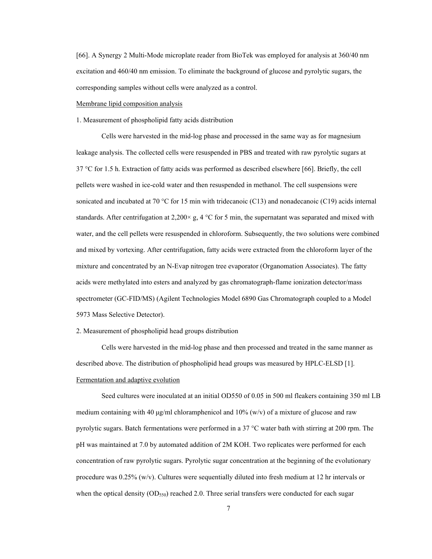[66]. A Synergy 2 Multi-Mode microplate reader from BioTek was employed for analysis at 360/40 nm excitation and 460/40 nm emission. To eliminate the background of glucose and pyrolytic sugars, the corresponding samples without cells were analyzed as a control.

#### Membrane lipid composition analysis

# 1. Measurement of phospholipid fatty acids distribution

Cells were harvested in the mid-log phase and processed in the same way as for magnesium leakage analysis. The collected cells were resuspended in PBS and treated with raw pyrolytic sugars at 37 °C for 1.5 h. Extraction of fatty acids was performed as described elsewhere [66]. Briefly, the cell pellets were washed in ice-cold water and then resuspended in methanol. The cell suspensions were sonicated and incubated at 70 °C for 15 min with tridecanoic (C13) and nonadecanoic (C19) acids internal standards. After centrifugation at 2,200 $\times$  g, 4 °C for 5 min, the supernatant was separated and mixed with water, and the cell pellets were resuspended in chloroform. Subsequently, the two solutions were combined and mixed by vortexing. After centrifugation, fatty acids were extracted from the chloroform layer of the mixture and concentrated by an N-Evap nitrogen tree evaporator (Organomation Associates). The fatty acids were methylated into esters and analyzed by gas chromatograph-flame ionization detector/mass spectrometer (GC-FID/MS) (Agilent Technologies Model 6890 Gas Chromatograph coupled to a Model 5973 Mass Selective Detector).

### 2. Measurement of phospholipid head groups distribution

Cells were harvested in the mid-log phase and then processed and treated in the same manner as described above. The distribution of phospholipid head groups was measured by HPLC-ELSD [1]. Fermentation and adaptive evolution

Seed cultures were inoculated at an initial OD550 of 0.05 in 500 ml fleakers containing 350 ml LB medium containing with 40  $\mu$ g/ml chloramphenicol and 10% (w/v) of a mixture of glucose and raw pyrolytic sugars. Batch fermentations were performed in a 37 °C water bath with stirring at 200 rpm. The pH was maintained at 7.0 by automated addition of 2M KOH. Two replicates were performed for each concentration of raw pyrolytic sugars. Pyrolytic sugar concentration at the beginning of the evolutionary procedure was 0.25% (w/v). Cultures were sequentially diluted into fresh medium at 12 hr intervals or when the optical density  $(OD_{550})$  reached 2.0. Three serial transfers were conducted for each sugar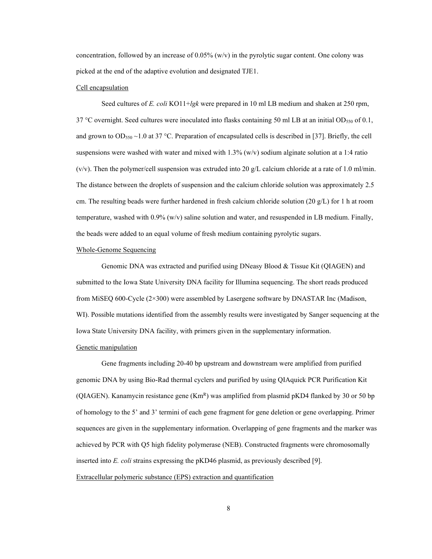concentration, followed by an increase of  $0.05\%$  (w/v) in the pyrolytic sugar content. One colony was picked at the end of the adaptive evolution and designated TJE1.

## Cell encapsulation

Seed cultures of *E. coli* KO11+*lgk* were prepared in 10 ml LB medium and shaken at 250 rpm, 37 °C overnight. Seed cultures were inoculated into flasks containing 50 ml LB at an initial OD $_{550}$  of 0.1, and grown to OD<sub>550</sub> ~1.0 at 37 °C. Preparation of encapsulated cells is described in [37]. Briefly, the cell suspensions were washed with water and mixed with  $1.3\%$  (w/v) sodium alginate solution at a 1:4 ratio (v/v). Then the polymer/cell suspension was extruded into 20 g/L calcium chloride at a rate of 1.0 ml/min. The distance between the droplets of suspension and the calcium chloride solution was approximately 2.5 cm. The resulting beads were further hardened in fresh calcium chloride solution (20  $g/L$ ) for 1 h at room temperature, washed with 0.9% (w/v) saline solution and water, and resuspended in LB medium. Finally, the beads were added to an equal volume of fresh medium containing pyrolytic sugars.

#### Whole-Genome Sequencing

Genomic DNA was extracted and purified using DNeasy Blood & Tissue Kit (QIAGEN) and submitted to the Iowa State University DNA facility for Illumina sequencing. The short reads produced from MiSEQ 600-Cycle (2×300) were assembled by Lasergene software by DNASTAR Inc (Madison, WI). Possible mutations identified from the assembly results were investigated by Sanger sequencing at the Iowa State University DNA facility, with primers given in the supplementary information.

# Genetic manipulation

Gene fragments including 20-40 bp upstream and downstream were amplified from purified genomic DNA by using Bio-Rad thermal cyclers and purified by using QIAquick PCR Purification Kit (QIAGEN). Kanamycin resistance gene  $(Km<sup>R</sup>)$  was amplified from plasmid pKD4 flanked by 30 or 50 bp of homology to the 5' and 3' termini of each gene fragment for gene deletion or gene overlapping. Primer sequences are given in the supplementary information. Overlapping of gene fragments and the marker was achieved by PCR with Q5 high fidelity polymerase (NEB). Constructed fragments were chromosomally inserted into *E. coli* strains expressing the pKD46 plasmid, as previously described [9]. Extracellular polymeric substance (EPS) extraction and quantification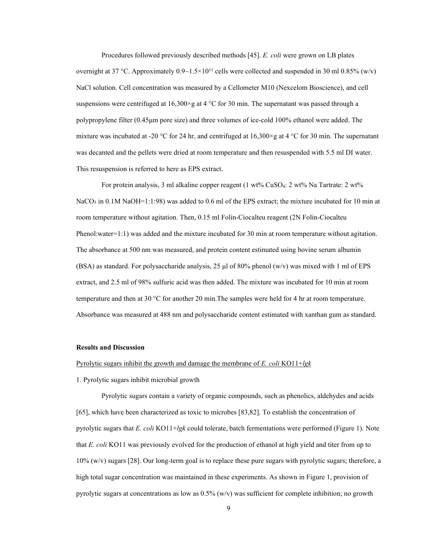Procedures followed previously described methods [45]. *E. coli* were grown on LB plates overnight at 37 °C. Approximately  $0.9 \sim 1.5 \times 10^{11}$  cells were collected and suspended in 30 ml 0.85% (w/v) NaCl solution. Cell concentration was measured by a Cellometer M10 (Nexcelom Bioscience), and cell suspensions were centrifuged at 16,300 $\times$ g at 4 °C for 30 min. The supernatant was passed through a polypropylene filter (0.45μm pore size) and three volumes of ice-cold 100% ethanol were added. The mixture was incubated at -20 °C for 24 hr, and centrifuged at  $16,300 \times g$  at 4 °C for 30 min. The supernatant was decanted and the pellets were dried at room temperature and then resuspended with 5.5 ml DI water. This resuspension is referred to here as EPS extract.

For protein analysis, 3 ml alkaline copper reagent (1 wt% CuSO<sub>4</sub>: 2 wt% Na Tartrate: 2 wt%  $NaCO<sub>3</sub>$  in 0.1M NaOH=1:1:98) was added to 0.6 ml of the EPS extract; the mixture incubated for 10 min at room temperature without agitation. Then, 0.15 ml Folin-Ciocalteu reagent (2N Folin-Ciocalteu Phenol:water=1:1) was added and the mixture incubated for 30 min at room temperature without agitation. The absorbance at 500 nm was measured, and protein content estimated using bovine serum albumin (BSA) as standard. For polysaccharide analysis, 25  $\mu$ l of 80% phenol (w/v) was mixed with 1 ml of EPS extract, and 2.5 ml of 98% sulfuric acid was then added. The mixture was incubated for 10 min at room temperature and then at 30 °C for another 20 min.The samples were held for 4 hr at room temperature. Absorbance was measured at 488 nm and polysaccharide content estimated with xanthan gum as standard.

## **Results and Discussion**

#### Pyrolytic sugars inhibit the growth and damage the membrane of *E. coli* KO11+*lgk*

## 1. Pyrolytic sugars inhibit microbial growth

Pyrolytic sugars contain a variety of organic compounds, such as phenolics, aldehydes and acids [65], which have been characterized as toxic to microbes [83,82]. To establish the concentration of pyrolytic sugars that *E. coli* KO11+*lgk* could tolerate, batch fermentations were performed (Figure 1). Note that *E. coli* KO11 was previously evolved for the production of ethanol at high yield and titer from up to 10% (w/v) sugars [28]. Our long-term goal is to replace these pure sugars with pyrolytic sugars; therefore, a high total sugar concentration was maintained in these experiments. As shown in Figure 1, provision of pyrolytic sugars at concentrations as low as  $0.5\%$  (w/v) was sufficient for complete inhibition; no growth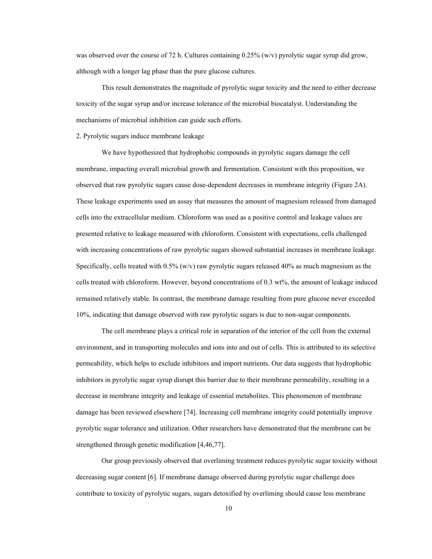was observed over the course of 72 h. Cultures containing 0.25% (w/v) pyrolytic sugar syrup did grow, although with a longer lag phase than the pure glucose cultures.

This result demonstrates the magnitude of pyrolytic sugar toxicity and the need to either decrease toxicity of the sugar syrup and/or increase tolerance of the microbial biocatalyst. Understanding the mechanisms of microbial inhibition can guide such efforts.

## 2. Pyrolytic sugars induce membrane leakage

We have hypothesized that hydrophobic compounds in pyrolytic sugars damage the cell membrane, impacting overall microbial growth and fermentation. Consistent with this proposition, we observed that raw pyrolytic sugars cause dose-dependent decreases in membrane integrity (Figure 2A). These leakage experiments used an assay that measures the amount of magnesium released from damaged cells into the extracellular medium. Chloroform was used as a positive control and leakage values are presented relative to leakage measured with chloroform. Consistent with expectations, cells challenged with increasing concentrations of raw pyrolytic sugars showed substantial increases in membrane leakage. Specifically, cells treated with  $0.5\%$  (w/v) raw pyrolytic sugars released 40% as much magnesium as the cells treated with chloroform. However, beyond concentrations of 0.3 wt%, the amount of leakage induced remained relatively stable. In contrast, the membrane damage resulting from pure glucose never exceeded 10%, indicating that damage observed with raw pyrolytic sugars is due to non-sugar components.

The cell membrane plays a critical role in separation of the interior of the cell from the external environment, and in transporting molecules and ions into and out of cells. This is attributed to its selective permeability, which helps to exclude inhibitors and import nutrients. Our data suggests that hydrophobic inhibitors in pyrolytic sugar syrup disrupt this barrier due to their membrane permeability, resulting in a decrease in membrane integrity and leakage of essential metabolites. This phenomenon of membrane damage has been reviewed elsewhere [74]. Increasing cell membrane integrity could potentially improve pyrolytic sugar tolerance and utilization. Other researchers have demonstrated that the membrane can be strengthened through genetic modification [4,46,77].

Our group previously observed that overliming treatment reduces pyrolytic sugar toxicity without decreasing sugar content [6]. If membrane damage observed during pyrolytic sugar challenge does contribute to toxicity of pyrolytic sugars, sugars detoxified by overliming should cause less membrane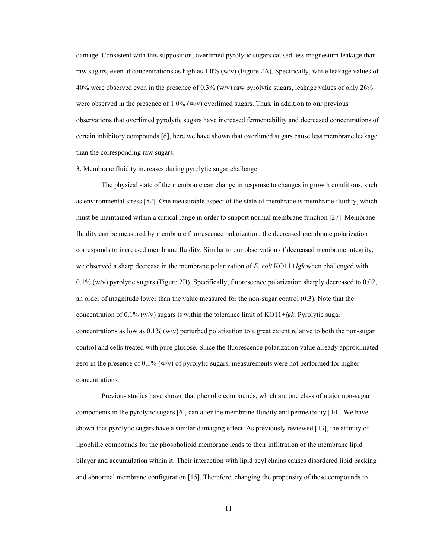damage. Consistent with this supposition, overlimed pyrolytic sugars caused less magnesium leakage than raw sugars, even at concentrations as high as 1.0% (w/v) (Figure 2A). Specifically, while leakage values of 40% were observed even in the presence of  $0.3\%$  (w/v) raw pyrolytic sugars, leakage values of only 26% were observed in the presence of  $1.0\%$  (w/v) overlimed sugars. Thus, in addition to our previous observations that overlimed pyrolytic sugars have increased fermentability and decreased concentrations of certain inhibitory compounds [6], here we have shown that overlimed sugars cause less membrane leakage than the corresponding raw sugars.

# 3. Membrane fluidity increases during pyrolytic sugar challenge

The physical state of the membrane can change in response to changes in growth conditions, such as environmental stress [52]. One measurable aspect of the state of membrane is membrane fluidity, which must be maintained within a critical range in order to support normal membrane function [27]. Membrane fluidity can be measured by membrane fluorescence polarization, the decreased membrane polarization corresponds to increased membrane fluidity. Similar to our observation of decreased membrane integrity, we observed a sharp decrease in the membrane polarization of *E. coli* KO11*+lgk* when challenged with 0.1% (w/v) pyrolytic sugars (Figure 2B). Specifically, fluorescence polarization sharply decreased to 0.02, an order of magnitude lower than the value measured for the non-sugar control (0.3). Note that the concentration of 0.1% (w/v) sugars is within the tolerance limit of KO11+*lgk*. Pyrolytic sugar concentrations as low as  $0.1\%$  (w/v) perturbed polarization to a great extent relative to both the non-sugar control and cells treated with pure glucose. Since the fluorescence polarization value already approximated zero in the presence of 0.1% (w/v) of pyrolytic sugars, measurements were not performed for higher concentrations.

Previous studies have shown that phenolic compounds, which are one class of major non-sugar components in the pyrolytic sugars [6], can alter the membrane fluidity and permeability [14]. We have shown that pyrolytic sugars have a similar damaging effect. As previously reviewed [13], the affinity of lipophilic compounds for the phospholipid membrane leads to their infiltration of the membrane lipid bilayer and accumulation within it. Their interaction with lipid acyl chains causes disordered lipid packing and abnormal membrane configuration [15]. Therefore, changing the propensity of these compounds to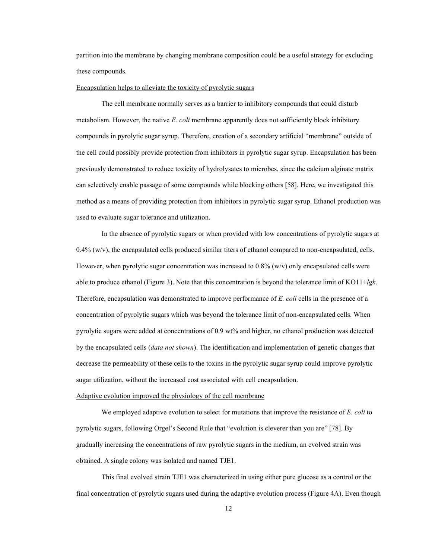partition into the membrane by changing membrane composition could be a useful strategy for excluding these compounds.

## Encapsulation helps to alleviate the toxicity of pyrolytic sugars

The cell membrane normally serves as a barrier to inhibitory compounds that could disturb metabolism. However, the native *E. coli* membrane apparently does not sufficiently block inhibitory compounds in pyrolytic sugar syrup. Therefore, creation of a secondary artificial "membrane" outside of the cell could possibly provide protection from inhibitors in pyrolytic sugar syrup. Encapsulation has been previously demonstrated to reduce toxicity of hydrolysates to microbes, since the calcium alginate matrix can selectively enable passage of some compounds while blocking others [58]. Here, we investigated this method as a means of providing protection from inhibitors in pyrolytic sugar syrup. Ethanol production was used to evaluate sugar tolerance and utilization.

In the absence of pyrolytic sugars or when provided with low concentrations of pyrolytic sugars at  $0.4\%$  (w/v), the encapsulated cells produced similar titers of ethanol compared to non-encapsulated, cells. However, when pyrolytic sugar concentration was increased to  $0.8\%$  (w/v) only encapsulated cells were able to produce ethanol (Figure 3). Note that this concentration is beyond the tolerance limit of KO11+*lgk*. Therefore, encapsulation was demonstrated to improve performance of *E. coli* cells in the presence of a concentration of pyrolytic sugars which was beyond the tolerance limit of non-encapsulated cells. When pyrolytic sugars were added at concentrations of 0.9 wt% and higher, no ethanol production was detected by the encapsulated cells (*data not shown*). The identification and implementation of genetic changes that decrease the permeability of these cells to the toxins in the pyrolytic sugar syrup could improve pyrolytic sugar utilization, without the increased cost associated with cell encapsulation.

#### Adaptive evolution improved the physiology of the cell membrane

We employed adaptive evolution to select for mutations that improve the resistance of *E. coli* to pyrolytic sugars, following Orgel's Second Rule that "evolution is cleverer than you are" [78]. By gradually increasing the concentrations of raw pyrolytic sugars in the medium, an evolved strain was obtained. A single colony was isolated and named TJE1.

This final evolved strain TJE1 was characterized in using either pure glucose as a control or the final concentration of pyrolytic sugars used during the adaptive evolution process (Figure 4A). Even though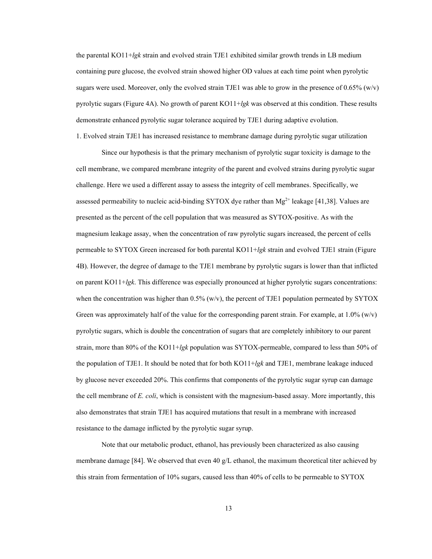the parental KO11+*lgk* strain and evolved strain TJE1 exhibited similar growth trends in LB medium containing pure glucose, the evolved strain showed higher OD values at each time point when pyrolytic sugars were used. Moreover, only the evolved strain TJE1 was able to grow in the presence of  $0.65\%$  (w/v) pyrolytic sugars (Figure 4A). No growth of parent KO11+*lgk* was observed at this condition. These results demonstrate enhanced pyrolytic sugar tolerance acquired by TJE1 during adaptive evolution.

1. Evolved strain TJE1 has increased resistance to membrane damage during pyrolytic sugar utilization

Since our hypothesis is that the primary mechanism of pyrolytic sugar toxicity is damage to the cell membrane, we compared membrane integrity of the parent and evolved strains during pyrolytic sugar challenge. Here we used a different assay to assess the integrity of cell membranes. Specifically, we assessed permeability to nucleic acid-binding SYTOX dye rather than  $Mg^{2+}$  leakage [41,38]. Values are presented as the percent of the cell population that was measured as SYTOX-positive. As with the magnesium leakage assay, when the concentration of raw pyrolytic sugars increased, the percent of cells permeable to SYTOX Green increased for both parental KO11+*lgk* strain and evolved TJE1 strain (Figure 4B). However, the degree of damage to the TJE1 membrane by pyrolytic sugars is lower than that inflicted on parent KO11+*lgk*. This difference was especially pronounced at higher pyrolytic sugars concentrations: when the concentration was higher than  $0.5\%$  (w/v), the percent of TJE1 population permeated by SYTOX Green was approximately half of the value for the corresponding parent strain. For example, at  $1.0\%$  (w/v) pyrolytic sugars, which is double the concentration of sugars that are completely inhibitory to our parent strain, more than 80% of the KO11+*lgk* population was SYTOX-permeable, compared to less than 50% of the population of TJE1. It should be noted that for both KO11+*lgk* and TJE1, membrane leakage induced by glucose never exceeded 20%. This confirms that components of the pyrolytic sugar syrup can damage the cell membrane of *E. coli*, which is consistent with the magnesium-based assay. More importantly, this also demonstrates that strain TJE1 has acquired mutations that result in a membrane with increased resistance to the damage inflicted by the pyrolytic sugar syrup.

Note that our metabolic product, ethanol, has previously been characterized as also causing membrane damage [84]. We observed that even 40 g/L ethanol, the maximum theoretical titer achieved by this strain from fermentation of 10% sugars, caused less than 40% of cells to be permeable to SYTOX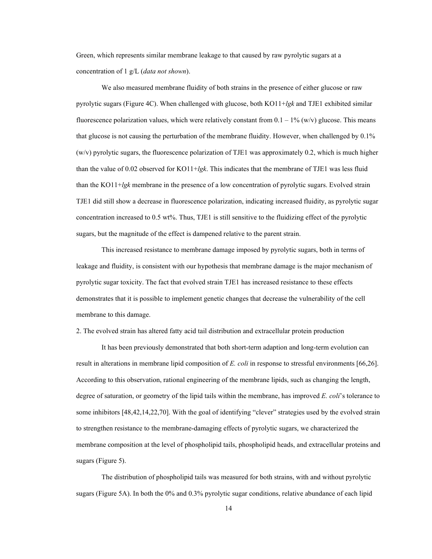Green, which represents similar membrane leakage to that caused by raw pyrolytic sugars at a concentration of 1 g/L (*data not shown*).

We also measured membrane fluidity of both strains in the presence of either glucose or raw pyrolytic sugars (Figure 4C). When challenged with glucose, both KO11+*lgk* and TJE1 exhibited similar fluorescence polarization values, which were relatively constant from  $0.1 - 1\%$  (w/v) glucose. This means that glucose is not causing the perturbation of the membrane fluidity. However, when challenged by 0.1%  $(w/v)$  pyrolytic sugars, the fluorescence polarization of TJE1 was approximately 0.2, which is much higher than the value of 0.02 observed for KO11+*lgk*. This indicates that the membrane of TJE1 was less fluid than the KO11+*lgk* membrane in the presence of a low concentration of pyrolytic sugars. Evolved strain TJE1 did still show a decrease in fluorescence polarization, indicating increased fluidity, as pyrolytic sugar concentration increased to 0.5 wt%. Thus, TJE1 is still sensitive to the fluidizing effect of the pyrolytic sugars, but the magnitude of the effect is dampened relative to the parent strain.

This increased resistance to membrane damage imposed by pyrolytic sugars, both in terms of leakage and fluidity, is consistent with our hypothesis that membrane damage is the major mechanism of pyrolytic sugar toxicity. The fact that evolved strain TJE1 has increased resistance to these effects demonstrates that it is possible to implement genetic changes that decrease the vulnerability of the cell membrane to this damage.

2. The evolved strain has altered fatty acid tail distribution and extracellular protein production

It has been previously demonstrated that both short-term adaption and long-term evolution can result in alterations in membrane lipid composition of *E. coli* in response to stressful environments [66,26]. According to this observation, rational engineering of the membrane lipids, such as changing the length, degree of saturation, or geometry of the lipid tails within the membrane, has improved *E. coli*'s tolerance to some inhibitors [48,42,14,22,70]. With the goal of identifying "clever" strategies used by the evolved strain to strengthen resistance to the membrane-damaging effects of pyrolytic sugars, we characterized the membrane composition at the level of phospholipid tails, phospholipid heads, and extracellular proteins and sugars (Figure 5).

The distribution of phospholipid tails was measured for both strains, with and without pyrolytic sugars (Figure 5A). In both the 0% and 0.3% pyrolytic sugar conditions, relative abundance of each lipid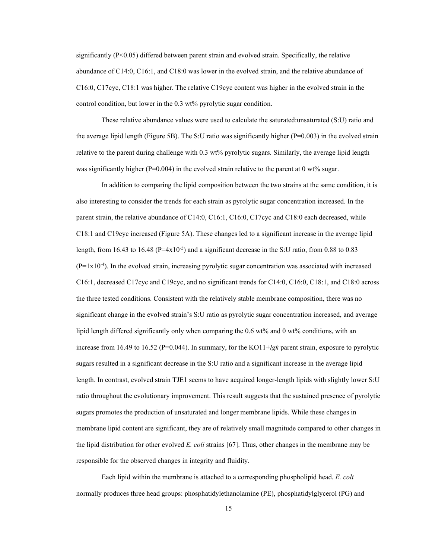significantly (P<0.05) differed between parent strain and evolved strain. Specifically, the relative abundance of C14:0, C16:1, and C18:0 was lower in the evolved strain, and the relative abundance of C16:0, C17cyc, C18:1 was higher. The relative C19cyc content was higher in the evolved strain in the control condition, but lower in the 0.3 wt% pyrolytic sugar condition.

These relative abundance values were used to calculate the saturated:unsaturated (S:U) ratio and the average lipid length (Figure 5B). The S:U ratio was significantly higher (P=0.003) in the evolved strain relative to the parent during challenge with 0.3 wt% pyrolytic sugars. Similarly, the average lipid length was significantly higher ( $P=0.004$ ) in the evolved strain relative to the parent at 0 wt% sugar.

In addition to comparing the lipid composition between the two strains at the same condition, it is also interesting to consider the trends for each strain as pyrolytic sugar concentration increased. In the parent strain, the relative abundance of C14:0, C16:1, C16:0, C17cyc and C18:0 each decreased, while C18:1 and C19cyc increased (Figure 5A). These changes led to a significant increase in the average lipid length, from 16.43 to 16.48 (P=4x10<sup>-5</sup>) and a significant decrease in the S:U ratio, from 0.88 to 0.83  $(P=1x10<sup>-4</sup>)$ . In the evolved strain, increasing pyrolytic sugar concentration was associated with increased C16:1, decreased C17cyc and C19cyc, and no significant trends for C14:0, C16:0, C18:1, and C18:0 across the three tested conditions. Consistent with the relatively stable membrane composition, there was no significant change in the evolved strain's S:U ratio as pyrolytic sugar concentration increased, and average lipid length differed significantly only when comparing the 0.6 wt% and 0 wt% conditions, with an increase from 16.49 to 16.52 (P=0.044). In summary, for the KO11+*lgk* parent strain, exposure to pyrolytic sugars resulted in a significant decrease in the S:U ratio and a significant increase in the average lipid length. In contrast, evolved strain TJE1 seems to have acquired longer-length lipids with slightly lower S:U ratio throughout the evolutionary improvement. This result suggests that the sustained presence of pyrolytic sugars promotes the production of unsaturated and longer membrane lipids. While these changes in membrane lipid content are significant, they are of relatively small magnitude compared to other changes in the lipid distribution for other evolved *E. coli* strains [67]. Thus, other changes in the membrane may be responsible for the observed changes in integrity and fluidity.

Each lipid within the membrane is attached to a corresponding phospholipid head. *E. coli* normally produces three head groups: phosphatidylethanolamine (PE), phosphatidylglycerol (PG) and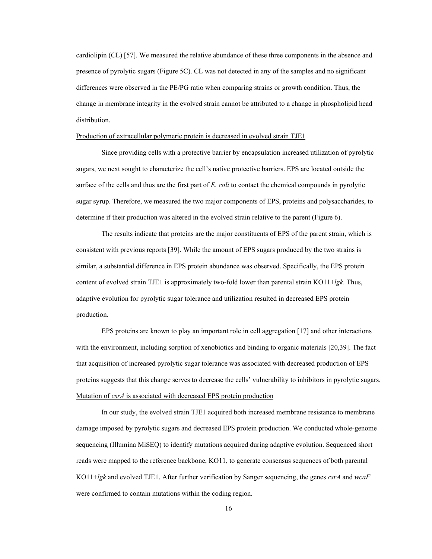cardiolipin (CL) [57]. We measured the relative abundance of these three components in the absence and presence of pyrolytic sugars (Figure 5C). CL was not detected in any of the samples and no significant differences were observed in the PE/PG ratio when comparing strains or growth condition. Thus, the change in membrane integrity in the evolved strain cannot be attributed to a change in phospholipid head distribution.

## Production of extracellular polymeric protein is decreased in evolved strain TJE1

Since providing cells with a protective barrier by encapsulation increased utilization of pyrolytic sugars, we next sought to characterize the cell's native protective barriers. EPS are located outside the surface of the cells and thus are the first part of *E. coli* to contact the chemical compounds in pyrolytic sugar syrup. Therefore, we measured the two major components of EPS, proteins and polysaccharides, to determine if their production was altered in the evolved strain relative to the parent (Figure 6).

The results indicate that proteins are the major constituents of EPS of the parent strain, which is consistent with previous reports [39]. While the amount of EPS sugars produced by the two strains is similar, a substantial difference in EPS protein abundance was observed. Specifically, the EPS protein content of evolved strain TJE1 is approximately two-fold lower than parental strain KO11+*lgk*. Thus, adaptive evolution for pyrolytic sugar tolerance and utilization resulted in decreased EPS protein production.

EPS proteins are known to play an important role in cell aggregation [17] and other interactions with the environment, including sorption of xenobiotics and binding to organic materials [20,39]. The fact that acquisition of increased pyrolytic sugar tolerance was associated with decreased production of EPS proteins suggests that this change serves to decrease the cells' vulnerability to inhibitors in pyrolytic sugars. Mutation of *csrA* is associated with decreased EPS protein production

In our study, the evolved strain TJE1 acquired both increased membrane resistance to membrane damage imposed by pyrolytic sugars and decreased EPS protein production. We conducted whole-genome sequencing (Illumina MiSEQ) to identify mutations acquired during adaptive evolution. Sequenced short reads were mapped to the reference backbone, KO11, to generate consensus sequences of both parental KO11+*lgk* and evolved TJE1. After further verification by Sanger sequencing, the genes *csrA* and *wcaF* were confirmed to contain mutations within the coding region.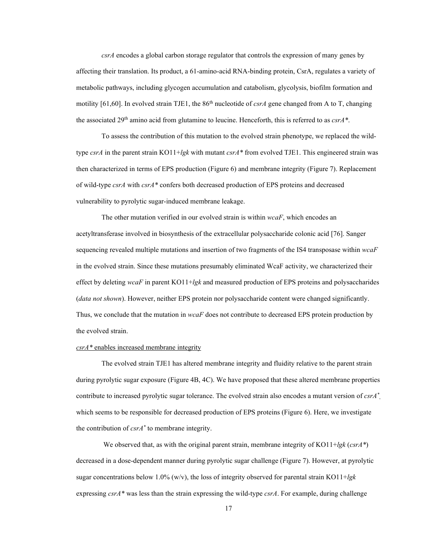*csrA* encodes a global carbon storage regulator that controls the expression of many genes by affecting their translation. Its product, a 61-amino-acid RNA-binding protein, CsrA, regulates a variety of metabolic pathways, including glycogen accumulation and catabolism, glycolysis, biofilm formation and motility [61,60]. In evolved strain TJE1, the  $86<sup>th</sup>$  nucleotide of *csrA* gene changed from A to T, changing the associated 29th amino acid from glutamine to leucine. Henceforth, this is referred to as *csrA\**.

To assess the contribution of this mutation to the evolved strain phenotype, we replaced the wildtype *csrA* in the parent strain KO11+*lgk* with mutant *csrA\** from evolved TJE1. This engineered strain was then characterized in terms of EPS production (Figure 6) and membrane integrity (Figure 7). Replacement of wild-type *csrA* with *csrA\** confers both decreased production of EPS proteins and decreased vulnerability to pyrolytic sugar-induced membrane leakage.

The other mutation verified in our evolved strain is within *wcaF*, which encodes an acetyltransferase involved in biosynthesis of the extracellular polysaccharide colonic acid [76]. Sanger sequencing revealed multiple mutations and insertion of two fragments of the IS4 transposase within *wcaF* in the evolved strain. Since these mutations presumably eliminated WcaF activity, we characterized their effect by deleting *wcaF* in parent KO11+*lgk* and measured production of EPS proteins and polysaccharides (*data not shown*). However, neither EPS protein nor polysaccharide content were changed significantly. Thus, we conclude that the mutation in *wcaF* does not contribute to decreased EPS protein production by the evolved strain.

## *csrA\** enables increased membrane integrity

The evolved strain TJE1 has altered membrane integrity and fluidity relative to the parent strain during pyrolytic sugar exposure (Figure 4B, 4C). We have proposed that these altered membrane properties contribute to increased pyrolytic sugar tolerance. The evolved strain also encodes a mutant version of *csrA\** , which seems to be responsible for decreased production of EPS proteins (Figure 6). Here, we investigate the contribution of *csrA\** to membrane integrity.

We observed that, as with the original parent strain, membrane integrity of KO11+*lgk* (*csrA\**) decreased in a dose-dependent manner during pyrolytic sugar challenge (Figure 7). However, at pyrolytic sugar concentrations below 1.0% (w/v), the loss of integrity observed for parental strain KO11+*lgk* expressing *csrA\** was less than the strain expressing the wild-type *csrA*. For example, during challenge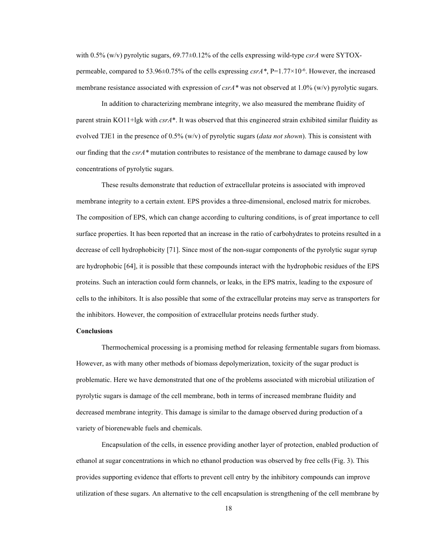with 0.5% (w/v) pyrolytic sugars, 69.77±0.12% of the cells expressing wild-type *csrA* were SYTOXpermeable, compared to 53.96±0.75% of the cells expressing  $csrA^*$ , P=1.77×10<sup>-6</sup>. However, the increased membrane resistance associated with expression of *csrA*<sup>\*</sup> was not observed at 1.0% (w/v) pyrolytic sugars.

In addition to characterizing membrane integrity, we also measured the membrane fluidity of parent strain KO11+lgk with *csrA*\*. It was observed that this engineered strain exhibited similar fluidity as evolved TJE1 in the presence of 0.5% (w/v) of pyrolytic sugars (*data not shown*). This is consistent with our finding that the *csrA\** mutation contributes to resistance of the membrane to damage caused by low concentrations of pyrolytic sugars.

These results demonstrate that reduction of extracellular proteins is associated with improved membrane integrity to a certain extent. EPS provides a three-dimensional, enclosed matrix for microbes. The composition of EPS, which can change according to culturing conditions, is of great importance to cell surface properties. It has been reported that an increase in the ratio of carbohydrates to proteins resulted in a decrease of cell hydrophobicity [71]. Since most of the non-sugar components of the pyrolytic sugar syrup are hydrophobic [64], it is possible that these compounds interact with the hydrophobic residues of the EPS proteins. Such an interaction could form channels, or leaks, in the EPS matrix, leading to the exposure of cells to the inhibitors. It is also possible that some of the extracellular proteins may serve as transporters for the inhibitors. However, the composition of extracellular proteins needs further study.

### **Conclusions**

Thermochemical processing is a promising method for releasing fermentable sugars from biomass. However, as with many other methods of biomass depolymerization, toxicity of the sugar product is problematic. Here we have demonstrated that one of the problems associated with microbial utilization of pyrolytic sugars is damage of the cell membrane, both in terms of increased membrane fluidity and decreased membrane integrity. This damage is similar to the damage observed during production of a variety of biorenewable fuels and chemicals.

Encapsulation of the cells, in essence providing another layer of protection, enabled production of ethanol at sugar concentrations in which no ethanol production was observed by free cells (Fig. 3). This provides supporting evidence that efforts to prevent cell entry by the inhibitory compounds can improve utilization of these sugars. An alternative to the cell encapsulation is strengthening of the cell membrane by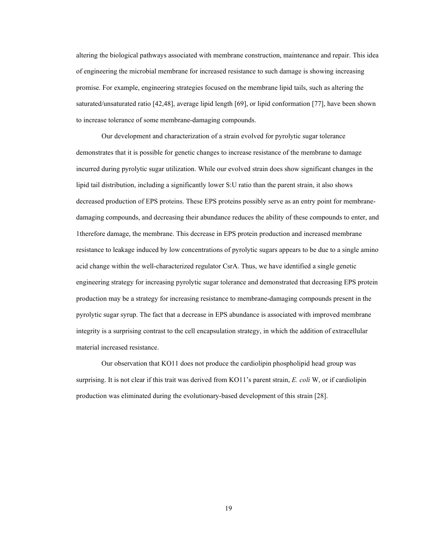altering the biological pathways associated with membrane construction, maintenance and repair. This idea of engineering the microbial membrane for increased resistance to such damage is showing increasing promise. For example, engineering strategies focused on the membrane lipid tails, such as altering the saturated/unsaturated ratio [42,48], average lipid length [69], or lipid conformation [77], have been shown to increase tolerance of some membrane-damaging compounds.

Our development and characterization of a strain evolved for pyrolytic sugar tolerance demonstrates that it is possible for genetic changes to increase resistance of the membrane to damage incurred during pyrolytic sugar utilization. While our evolved strain does show significant changes in the lipid tail distribution, including a significantly lower S:U ratio than the parent strain, it also shows decreased production of EPS proteins. These EPS proteins possibly serve as an entry point for membranedamaging compounds, and decreasing their abundance reduces the ability of these compounds to enter, and 1therefore damage, the membrane. This decrease in EPS protein production and increased membrane resistance to leakage induced by low concentrations of pyrolytic sugars appears to be due to a single amino acid change within the well-characterized regulator CsrA. Thus, we have identified a single genetic engineering strategy for increasing pyrolytic sugar tolerance and demonstrated that decreasing EPS protein production may be a strategy for increasing resistance to membrane-damaging compounds present in the pyrolytic sugar syrup. The fact that a decrease in EPS abundance is associated with improved membrane integrity is a surprising contrast to the cell encapsulation strategy, in which the addition of extracellular material increased resistance.

Our observation that KO11 does not produce the cardiolipin phospholipid head group was surprising. It is not clear if this trait was derived from KO11's parent strain, *E. coli* W, or if cardiolipin production was eliminated during the evolutionary-based development of this strain [28].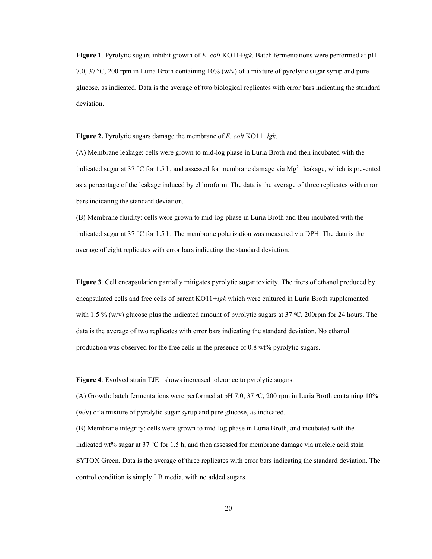**Figure 1**. Pyrolytic sugars inhibit growth of *E. coli* KO11+*lgk*. Batch fermentations were performed at pH 7.0, 37 °C, 200 rpm in Luria Broth containing 10% (w/v) of a mixture of pyrolytic sugar syrup and pure glucose, as indicated. Data is the average of two biological replicates with error bars indicating the standard deviation.

**Figure 2.** Pyrolytic sugars damage the membrane of *E. coli* KO11+*lgk*.

(A) Membrane leakage: cells were grown to mid-log phase in Luria Broth and then incubated with the indicated sugar at 37 °C for 1.5 h, and assessed for membrane damage via  $Mg^{2+}$  leakage, which is presented as a percentage of the leakage induced by chloroform. The data is the average of three replicates with error bars indicating the standard deviation.

(B) Membrane fluidity: cells were grown to mid-log phase in Luria Broth and then incubated with the indicated sugar at 37 °C for 1.5 h. The membrane polarization was measured via DPH. The data is the average of eight replicates with error bars indicating the standard deviation.

**Figure 3**. Cell encapsulation partially mitigates pyrolytic sugar toxicity. The titers of ethanol produced by encapsulated cells and free cells of parent KO11*+lgk* which were cultured in Luria Broth supplemented with 1.5 % (w/v) glucose plus the indicated amount of pyrolytic sugars at 37 °C, 200rpm for 24 hours. The data is the average of two replicates with error bars indicating the standard deviation. No ethanol production was observed for the free cells in the presence of 0.8 wt% pyrolytic sugars.

**Figure 4**. Evolved strain TJE1 shows increased tolerance to pyrolytic sugars.

(A) Growth: batch fermentations were performed at pH 7.0, 37 °C, 200 rpm in Luria Broth containing 10% (w/v) of a mixture of pyrolytic sugar syrup and pure glucose, as indicated.

(B) Membrane integrity: cells were grown to mid-log phase in Luria Broth, and incubated with the indicated wt% sugar at 37 °C for 1.5 h, and then assessed for membrane damage via nucleic acid stain SYTOX Green. Data is the average of three replicates with error bars indicating the standard deviation. The control condition is simply LB media, with no added sugars.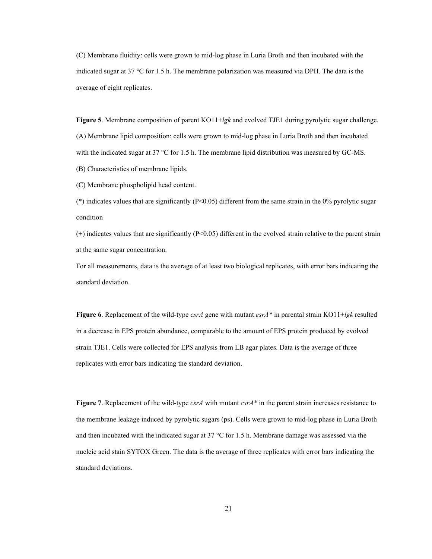(C) Membrane fluidity: cells were grown to mid-log phase in Luria Broth and then incubated with the indicated sugar at 37 ℃ for 1.5 h. The membrane polarization was measured via DPH. The data is the average of eight replicates.

**Figure 5**. Membrane composition of parent KO11+*lgk* and evolved TJE1 during pyrolytic sugar challenge. (A) Membrane lipid composition: cells were grown to mid-log phase in Luria Broth and then incubated with the indicated sugar at 37 °C for 1.5 h. The membrane lipid distribution was measured by GC-MS.

(B) Characteristics of membrane lipids.

(C) Membrane phospholipid head content.

(\*) indicates values that are significantly ( $P<0.05$ ) different from the same strain in the 0% pyrolytic sugar condition

(+) indicates values that are significantly (P<0.05) different in the evolved strain relative to the parent strain at the same sugar concentration.

For all measurements, data is the average of at least two biological replicates, with error bars indicating the standard deviation.

**Figure 6**. Replacement of the wild-type *csrA* gene with mutant *csrA\** in parental strain KO11+*lgk* resulted in a decrease in EPS protein abundance, comparable to the amount of EPS protein produced by evolved strain TJE1. Cells were collected for EPS analysis from LB agar plates. Data is the average of three replicates with error bars indicating the standard deviation.

**Figure 7**. Replacement of the wild-type *csrA* with mutant *csrA\** in the parent strain increases resistance to the membrane leakage induced by pyrolytic sugars (ps). Cells were grown to mid-log phase in Luria Broth and then incubated with the indicated sugar at  $37 \text{ °C}$  for 1.5 h. Membrane damage was assessed via the nucleic acid stain SYTOX Green. The data is the average of three replicates with error bars indicating the standard deviations.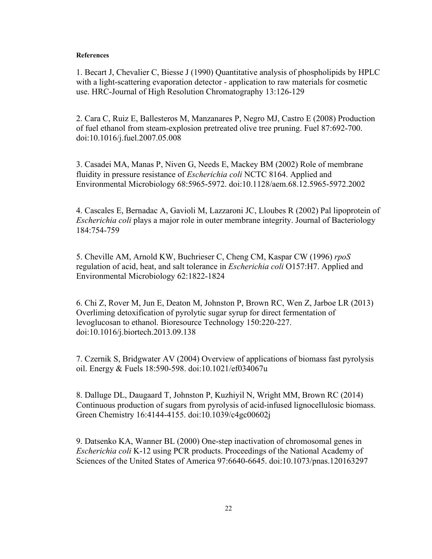# **References**

1. Becart J, Chevalier C, Biesse J (1990) Quantitative analysis of phospholipids by HPLC with a light-scattering evaporation detector - application to raw materials for cosmetic use. HRC-Journal of High Resolution Chromatography 13:126-129

2. Cara C, Ruiz E, Ballesteros M, Manzanares P, Negro MJ, Castro E (2008) Production of fuel ethanol from steam-explosion pretreated olive tree pruning. Fuel 87:692-700. doi:10.1016/j.fuel.2007.05.008

3. Casadei MA, Manas P, Niven G, Needs E, Mackey BM (2002) Role of membrane fluidity in pressure resistance of *Escherichia coli* NCTC 8164. Applied and Environmental Microbiology 68:5965-5972. doi:10.1128/aem.68.12.5965-5972.2002

4. Cascales E, Bernadac A, Gavioli M, Lazzaroni JC, Lloubes R (2002) Pal lipoprotein of *Escherichia coli* plays a major role in outer membrane integrity. Journal of Bacteriology 184:754-759

5. Cheville AM, Arnold KW, Buchrieser C, Cheng CM, Kaspar CW (1996) *rpoS* regulation of acid, heat, and salt tolerance in *Escherichia coli* O157:H7. Applied and Environmental Microbiology 62:1822-1824

6. Chi Z, Rover M, Jun E, Deaton M, Johnston P, Brown RC, Wen Z, Jarboe LR (2013) Overliming detoxification of pyrolytic sugar syrup for direct fermentation of levoglucosan to ethanol. Bioresource Technology 150:220-227. doi:10.1016/j.biortech.2013.09.138

7. Czernik S, Bridgwater AV (2004) Overview of applications of biomass fast pyrolysis oil. Energy & Fuels 18:590-598. doi:10.1021/ef034067u

8. Dalluge DL, Daugaard T, Johnston P, Kuzhiyil N, Wright MM, Brown RC (2014) Continuous production of sugars from pyrolysis of acid-infused lignocellulosic biomass. Green Chemistry 16:4144-4155. doi:10.1039/c4gc00602j

9. Datsenko KA, Wanner BL (2000) One-step inactivation of chromosomal genes in *Escherichia coli* K-12 using PCR products. Proceedings of the National Academy of Sciences of the United States of America 97:6640-6645. doi:10.1073/pnas.120163297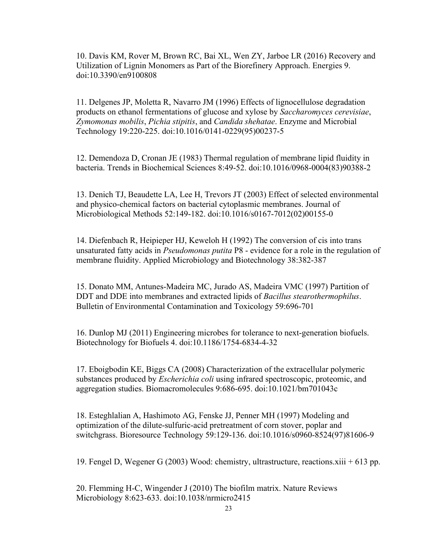10. Davis KM, Rover M, Brown RC, Bai XL, Wen ZY, Jarboe LR (2016) Recovery and Utilization of Lignin Monomers as Part of the Biorefinery Approach. Energies 9. doi:10.3390/en9100808

11. Delgenes JP, Moletta R, Navarro JM (1996) Effects of lignocellulose degradation products on ethanol fermentations of glucose and xylose by *Saccharomyces cerevisiae*, *Zymomonas mobilis*, *Pichia stipitis*, and *Candida shehatae*. Enzyme and Microbial Technology 19:220-225. doi:10.1016/0141-0229(95)00237-5

12. Demendoza D, Cronan JE (1983) Thermal regulation of membrane lipid fluidity in bacteria. Trends in Biochemical Sciences 8:49-52. doi:10.1016/0968-0004(83)90388-2

13. Denich TJ, Beaudette LA, Lee H, Trevors JT (2003) Effect of selected environmental and physico-chemical factors on bacterial cytoplasmic membranes. Journal of Microbiological Methods 52:149-182. doi:10.1016/s0167-7012(02)00155-0

14. Diefenbach R, Heipieper HJ, Keweloh H (1992) The conversion of cis into trans unsaturated fatty acids in *Pseudomonas putita* P8 - evidence for a role in the regulation of membrane fluidity. Applied Microbiology and Biotechnology 38:382-387

15. Donato MM, Antunes-Madeira MC, Jurado AS, Madeira VMC (1997) Partition of DDT and DDE into membranes and extracted lipids of *Bacillus stearothermophilus*. Bulletin of Environmental Contamination and Toxicology 59:696-701

16. Dunlop MJ (2011) Engineering microbes for tolerance to next-generation biofuels. Biotechnology for Biofuels 4. doi:10.1186/1754-6834-4-32

17. Eboigbodin KE, Biggs CA (2008) Characterization of the extracellular polymeric substances produced by *Escherichia coli* using infrared spectroscopic, proteomic, and aggregation studies. Biomacromolecules 9:686-695. doi:10.1021/bm701043c

18. Esteghlalian A, Hashimoto AG, Fenske JJ, Penner MH (1997) Modeling and optimization of the dilute-sulfuric-acid pretreatment of corn stover, poplar and switchgrass. Bioresource Technology 59:129-136. doi:10.1016/s0960-8524(97)81606-9

19. Fengel D, Wegener G (2003) Wood: chemistry, ultrastructure, reactions.xiii + 613 pp.

20. Flemming H-C, Wingender J (2010) The biofilm matrix. Nature Reviews Microbiology 8:623-633. doi:10.1038/nrmicro2415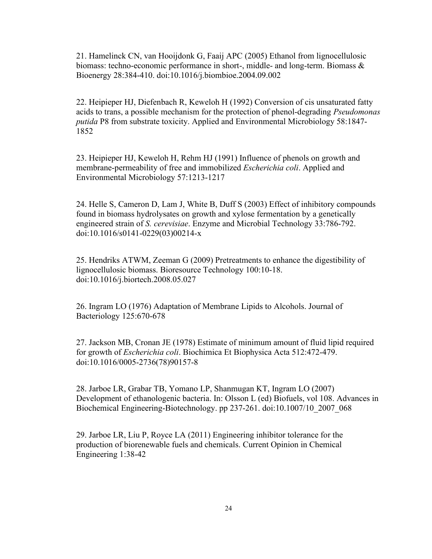21. Hamelinck CN, van Hooijdonk G, Faaij APC (2005) Ethanol from lignocellulosic biomass: techno-economic performance in short-, middle- and long-term. Biomass & Bioenergy 28:384-410. doi:10.1016/j.biombioe.2004.09.002

22. Heipieper HJ, Diefenbach R, Keweloh H (1992) Conversion of cis unsaturated fatty acids to trans, a possible mechanism for the protection of phenol-degrading *Pseudomonas putida* P8 from substrate toxicity. Applied and Environmental Microbiology 58:1847- 1852

23. Heipieper HJ, Keweloh H, Rehm HJ (1991) Influence of phenols on growth and membrane-permeability of free and immobilized *Escherichia coli*. Applied and Environmental Microbiology 57:1213-1217

24. Helle S, Cameron D, Lam J, White B, Duff S (2003) Effect of inhibitory compounds found in biomass hydrolysates on growth and xylose fermentation by a genetically engineered strain of *S. cerevisiae*. Enzyme and Microbial Technology 33:786-792. doi:10.1016/s0141-0229(03)00214-x

25. Hendriks ATWM, Zeeman G (2009) Pretreatments to enhance the digestibility of lignocellulosic biomass. Bioresource Technology 100:10-18. doi:10.1016/j.biortech.2008.05.027

26. Ingram LO (1976) Adaptation of Membrane Lipids to Alcohols. Journal of Bacteriology 125:670-678

27. Jackson MB, Cronan JE (1978) Estimate of minimum amount of fluid lipid required for growth of *Escherichia coli*. Biochimica Et Biophysica Acta 512:472-479. doi:10.1016/0005-2736(78)90157-8

28. Jarboe LR, Grabar TB, Yomano LP, Shanmugan KT, Ingram LO (2007) Development of ethanologenic bacteria. In: Olsson L (ed) Biofuels, vol 108. Advances in Biochemical Engineering-Biotechnology. pp 237-261. doi:10.1007/10\_2007\_068

29. Jarboe LR, Liu P, Royce LA (2011) Engineering inhibitor tolerance for the production of biorenewable fuels and chemicals. Current Opinion in Chemical Engineering 1:38-42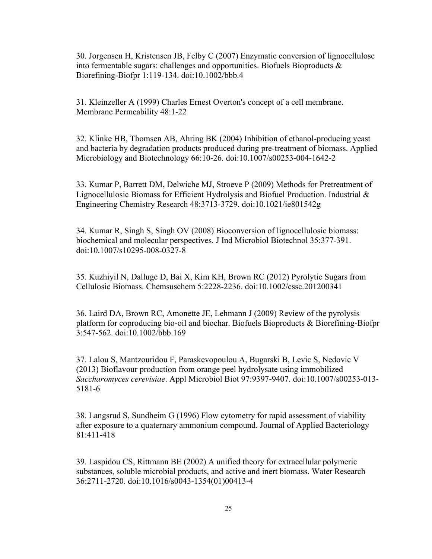30. Jorgensen H, Kristensen JB, Felby C (2007) Enzymatic conversion of lignocellulose into fermentable sugars: challenges and opportunities. Biofuels Bioproducts & Biorefining-Biofpr 1:119-134. doi:10.1002/bbb.4

31. Kleinzeller A (1999) Charles Ernest Overton's concept of a cell membrane. Membrane Permeability 48:1-22

32. Klinke HB, Thomsen AB, Ahring BK (2004) Inhibition of ethanol-producing yeast and bacteria by degradation products produced during pre-treatment of biomass. Applied Microbiology and Biotechnology 66:10-26. doi:10.1007/s00253-004-1642-2

33. Kumar P, Barrett DM, Delwiche MJ, Stroeve P (2009) Methods for Pretreatment of Lignocellulosic Biomass for Efficient Hydrolysis and Biofuel Production. Industrial & Engineering Chemistry Research 48:3713-3729. doi:10.1021/ie801542g

34. Kumar R, Singh S, Singh OV (2008) Bioconversion of lignocellulosic biomass: biochemical and molecular perspectives. J Ind Microbiol Biotechnol 35:377-391. doi:10.1007/s10295-008-0327-8

35. Kuzhiyil N, Dalluge D, Bai X, Kim KH, Brown RC (2012) Pyrolytic Sugars from Cellulosic Biomass. Chemsuschem 5:2228-2236. doi:10.1002/cssc.201200341

36. Laird DA, Brown RC, Amonette JE, Lehmann J (2009) Review of the pyrolysis platform for coproducing bio-oil and biochar. Biofuels Bioproducts & Biorefining-Biofpr 3:547-562. doi:10.1002/bbb.169

37. Lalou S, Mantzouridou F, Paraskevopoulou A, Bugarski B, Levic S, Nedovic V (2013) Bioflavour production from orange peel hydrolysate using immobilized *Saccharomyces cerevisiae*. Appl Microbiol Biot 97:9397-9407. doi:10.1007/s00253-013- 5181-6

38. Langsrud S, Sundheim G (1996) Flow cytometry for rapid assessment of viability after exposure to a quaternary ammonium compound. Journal of Applied Bacteriology 81:411-418

39. Laspidou CS, Rittmann BE (2002) A unified theory for extracellular polymeric substances, soluble microbial products, and active and inert biomass. Water Research 36:2711-2720. doi:10.1016/s0043-1354(01)00413-4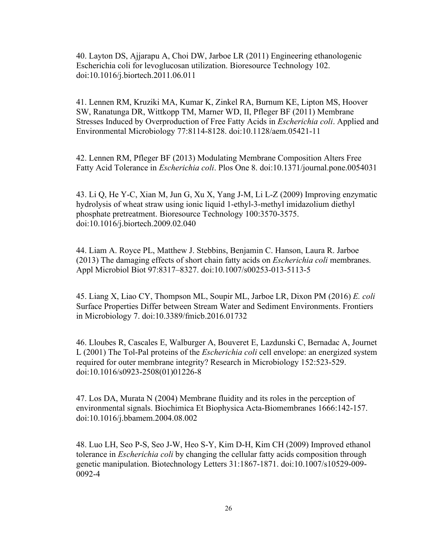40. Layton DS, Ajjarapu A, Choi DW, Jarboe LR (2011) Engineering ethanologenic Escherichia coli for levoglucosan utilization. Bioresource Technology 102. doi:10.1016/j.biortech.2011.06.011

41. Lennen RM, Kruziki MA, Kumar K, Zinkel RA, Burnum KE, Lipton MS, Hoover SW, Ranatunga DR, Wittkopp TM, Marner WD, II, Pfleger BF (2011) Membrane Stresses Induced by Overproduction of Free Fatty Acids in *Escherichia coli*. Applied and Environmental Microbiology 77:8114-8128. doi:10.1128/aem.05421-11

42. Lennen RM, Pfleger BF (2013) Modulating Membrane Composition Alters Free Fatty Acid Tolerance in *Escherichia coli*. Plos One 8. doi:10.1371/journal.pone.0054031

43. Li Q, He Y-C, Xian M, Jun G, Xu X, Yang J-M, Li L-Z (2009) Improving enzymatic hydrolysis of wheat straw using ionic liquid 1-ethyl-3-methyl imidazolium diethyl phosphate pretreatment. Bioresource Technology 100:3570-3575. doi:10.1016/j.biortech.2009.02.040

44. Liam A. Royce PL, Matthew J. Stebbins, Benjamin C. Hanson, Laura R. Jarboe (2013) The damaging effects of short chain fatty acids on *Escherichia coli* membranes. Appl Microbiol Biot 97:8317–8327. doi:10.1007/s00253-013-5113-5

45. Liang X, Liao CY, Thompson ML, Soupir ML, Jarboe LR, Dixon PM (2016) *E. coli* Surface Properties Differ between Stream Water and Sediment Environments. Frontiers in Microbiology 7. doi:10.3389/fmicb.2016.01732

46. Lloubes R, Cascales E, Walburger A, Bouveret E, Lazdunski C, Bernadac A, Journet L (2001) The Tol-Pal proteins of the *Escherichia coli* cell envelope: an energized system required for outer membrane integrity? Research in Microbiology 152:523-529. doi:10.1016/s0923-2508(01)01226-8

47. Los DA, Murata N (2004) Membrane fluidity and its roles in the perception of environmental signals. Biochimica Et Biophysica Acta-Biomembranes 1666:142-157. doi:10.1016/j.bbamem.2004.08.002

48. Luo LH, Seo P-S, Seo J-W, Heo S-Y, Kim D-H, Kim CH (2009) Improved ethanol tolerance in *Escherichia coli* by changing the cellular fatty acids composition through genetic manipulation. Biotechnology Letters 31:1867-1871. doi:10.1007/s10529-009- 0092-4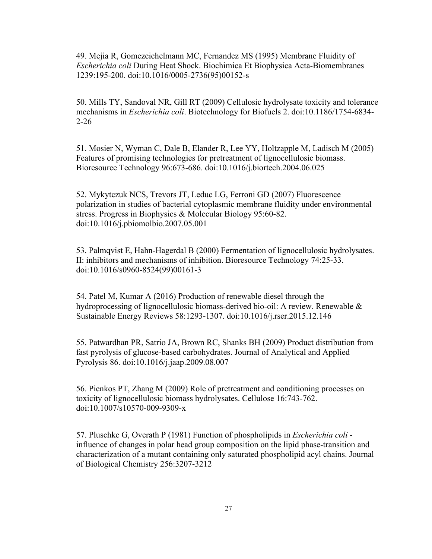49. Mejia R, Gomezeichelmann MC, Fernandez MS (1995) Membrane Fluidity of *Escherichia coli* During Heat Shock. Biochimica Et Biophysica Acta-Biomembranes 1239:195-200. doi:10.1016/0005-2736(95)00152-s

50. Mills TY, Sandoval NR, Gill RT (2009) Cellulosic hydrolysate toxicity and tolerance mechanisms in *Escherichia coli*. Biotechnology for Biofuels 2. doi:10.1186/1754-6834- 2-26

51. Mosier N, Wyman C, Dale B, Elander R, Lee YY, Holtzapple M, Ladisch M (2005) Features of promising technologies for pretreatment of lignocellulosic biomass. Bioresource Technology 96:673-686. doi:10.1016/j.biortech.2004.06.025

52. Mykytczuk NCS, Trevors JT, Leduc LG, Ferroni GD (2007) Fluorescence polarization in studies of bacterial cytoplasmic membrane fluidity under environmental stress. Progress in Biophysics & Molecular Biology 95:60-82. doi:10.1016/j.pbiomolbio.2007.05.001

53. Palmqvist E, Hahn-Hagerdal B (2000) Fermentation of lignocellulosic hydrolysates. II: inhibitors and mechanisms of inhibition. Bioresource Technology 74:25-33. doi:10.1016/s0960-8524(99)00161-3

54. Patel M, Kumar A (2016) Production of renewable diesel through the hydroprocessing of lignocellulosic biomass-derived bio-oil: A review. Renewable  $\&$ Sustainable Energy Reviews 58:1293-1307. doi:10.1016/j.rser.2015.12.146

55. Patwardhan PR, Satrio JA, Brown RC, Shanks BH (2009) Product distribution from fast pyrolysis of glucose-based carbohydrates. Journal of Analytical and Applied Pyrolysis 86. doi:10.1016/j.jaap.2009.08.007

56. Pienkos PT, Zhang M (2009) Role of pretreatment and conditioning processes on toxicity of lignocellulosic biomass hydrolysates. Cellulose 16:743-762. doi:10.1007/s10570-009-9309-x

57. Pluschke G, Overath P (1981) Function of phospholipids in *Escherichia coli* influence of changes in polar head group composition on the lipid phase-transition and characterization of a mutant containing only saturated phospholipid acyl chains. Journal of Biological Chemistry 256:3207-3212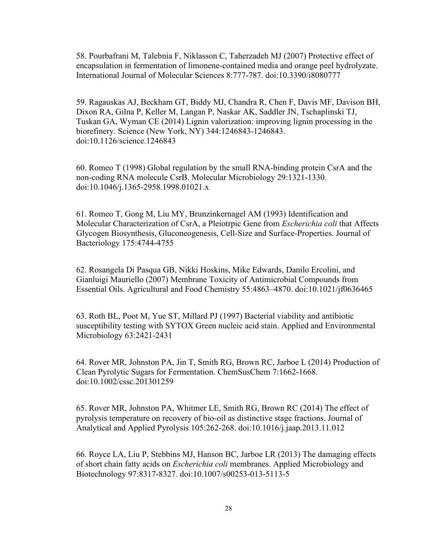58. Pourbafrani M, Talebnia F, Niklasson C, Taherzadeh MJ (2007) Protective effect of encapsulation in fermentation of limonene-contained media and orange peel hydrolyzate. International Journal of Molecular Sciences 8:777-787. doi:10.3390/i8080777

59. Ragauskas AJ, Beckham GT, Biddy MJ, Chandra R, Chen F, Davis MF, Davison BH, Dixon RA, Gilna P, Keller M, Langan P, Naskar AK, Saddler JN, Tschaplinski TJ, Tuskan GA, Wyman CE (2014) Lignin valorization: improving lignin processing in the biorefinery. Science (New York, NY) 344:1246843-1246843. doi:10.1126/science.1246843

60. Romeo T (1998) Global regulation by the small RNA-binding protein CsrA and the non-coding RNA molecule CsrB. Molecular Microbiology 29:1321-1330. doi:10.1046/j.1365-2958.1998.01021.x

61. Romeo T, Gong M, Liu MY, Brunzinkernagel AM (1993) Identification and Molecular Characterization of CsrA, a Pleiotrpic Gene from *Escherichia coli* that Affects Glycogen Biosynthesis, Gluconeogenesis, Cell-Size and Surface-Properties. Journal of Bacteriology 175:4744-4755

62. Rosangela Di Pasqua GB, Nikki Hoskins, Mike Edwards, Danilo Ercolini, and Gianluigi Mauriello (2007) Membrane Toxicity of Antimicrobial Compounds from Essential Oils. Agricultural and Food Chemistry 55:4863–4870. doi:10.1021/jf0636465

63. Roth BL, Poot M, Yue ST, Millard PJ (1997) Bacterial viability and antibiotic susceptibility testing with SYTOX Green nucleic acid stain. Applied and Environmental Microbiology 63:2421-2431

64. Rover MR, Johnston PA, Jin T, Smith RG, Brown RC, Jarboe L (2014) Production of Clean Pyrolytic Sugars for Fermentation. ChemSusChem 7:1662-1668. doi:10.1002/cssc.201301259

65. Rover MR, Johnston PA, Whitmer LE, Smith RG, Brown RC (2014) The effect of pyrolysis temperature on recovery of bio-oil as distinctive stage fractions. Journal of Analytical and Applied Pyrolysis 105:262-268. doi:10.1016/j.jaap.2013.11.012

66. Royce LA, Liu P, Stebbins MJ, Hanson BC, Jarboe LR (2013) The damaging effects of short chain fatty acids on *Escherichia coli* membranes. Applied Microbiology and Biotechnology 97:8317-8327. doi:10.1007/s00253-013-5113-5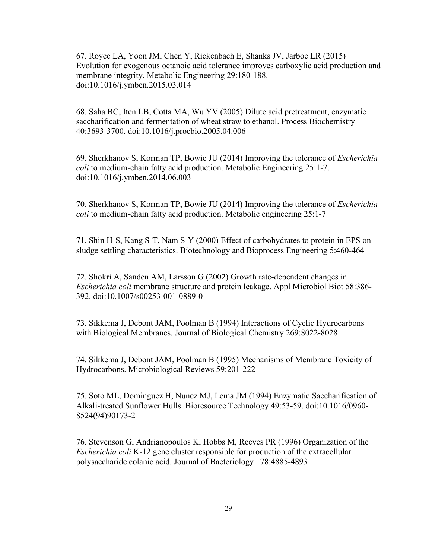67. Royce LA, Yoon JM, Chen Y, Rickenbach E, Shanks JV, Jarboe LR (2015) Evolution for exogenous octanoic acid tolerance improves carboxylic acid production and membrane integrity. Metabolic Engineering 29:180-188. doi:10.1016/j.ymben.2015.03.014

68. Saha BC, Iten LB, Cotta MA, Wu YV (2005) Dilute acid pretreatment, enzymatic saccharification and fermentation of wheat straw to ethanol. Process Biochemistry 40:3693-3700. doi:10.1016/j.procbio.2005.04.006

69. Sherkhanov S, Korman TP, Bowie JU (2014) Improving the tolerance of *Escherichia coli* to medium-chain fatty acid production. Metabolic Engineering 25:1-7. doi:10.1016/j.ymben.2014.06.003

70. Sherkhanov S, Korman TP, Bowie JU (2014) Improving the tolerance of *Escherichia coli* to medium-chain fatty acid production. Metabolic engineering 25:1-7

71. Shin H-S, Kang S-T, Nam S-Y (2000) Effect of carbohydrates to protein in EPS on sludge settling characteristics. Biotechnology and Bioprocess Engineering 5:460-464

72. Shokri A, Sanden AM, Larsson G (2002) Growth rate-dependent changes in *Escherichia coli* membrane structure and protein leakage. Appl Microbiol Biot 58:386- 392. doi:10.1007/s00253-001-0889-0

73. Sikkema J, Debont JAM, Poolman B (1994) Interactions of Cyclic Hydrocarbons with Biological Membranes. Journal of Biological Chemistry 269:8022-8028

74. Sikkema J, Debont JAM, Poolman B (1995) Mechanisms of Membrane Toxicity of Hydrocarbons. Microbiological Reviews 59:201-222

75. Soto ML, Dominguez H, Nunez MJ, Lema JM (1994) Enzymatic Saccharification of Alkali-treated Sunflower Hulls. Bioresource Technology 49:53-59. doi:10.1016/0960- 8524(94)90173-2

76. Stevenson G, Andrianopoulos K, Hobbs M, Reeves PR (1996) Organization of the *Escherichia coli* K-12 gene cluster responsible for production of the extracellular polysaccharide colanic acid. Journal of Bacteriology 178:4885-4893